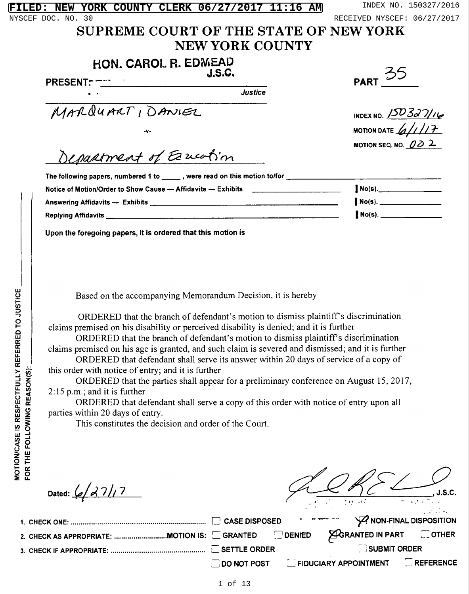|                    | FILED: NEW YORK COUNTY CLERK 06/27/2017 11:16 AM                                                                                                                                          | INDEX NO. 150327/2016           |  |  |  |
|--------------------|-------------------------------------------------------------------------------------------------------------------------------------------------------------------------------------------|---------------------------------|--|--|--|
|                    | NYSCEF DOC. NO. 30                                                                                                                                                                        | RECEIVED NYSCEF: 06/27/2017     |  |  |  |
|                    | SUPREME COURT OF THE STATE OF NEW YORK                                                                                                                                                    |                                 |  |  |  |
|                    | <b>NEW YORK COUNTY</b>                                                                                                                                                                    |                                 |  |  |  |
|                    | HON. CAROL R. EDMEAD                                                                                                                                                                      |                                 |  |  |  |
|                    | PRESENT: $T_{\text{max}}$<br>DRESENT: $T_{\text{max}}$                                                                                                                                    | <b>PART 35</b>                  |  |  |  |
|                    |                                                                                                                                                                                           |                                 |  |  |  |
|                    | MARQUART, DANIEL                                                                                                                                                                          | INDEX NO. 150327/16             |  |  |  |
|                    |                                                                                                                                                                                           | MOTION DATE $\frac{1}{4}$       |  |  |  |
|                    |                                                                                                                                                                                           |                                 |  |  |  |
|                    | Department of Esucation                                                                                                                                                                   | MOTION SEQ. NO. $\cancel{00}$ 2 |  |  |  |
|                    |                                                                                                                                                                                           |                                 |  |  |  |
|                    | The following papers, numbered 1 to _____, were read on this motion to/for __________________                                                                                             |                                 |  |  |  |
|                    | Notice of Motion/Order to Show Cause — Affidavits — Exhibits ___________________                                                                                                          |                                 |  |  |  |
|                    |                                                                                                                                                                                           | $No(s)$ .                       |  |  |  |
|                    |                                                                                                                                                                                           | $No(s).$                        |  |  |  |
|                    | Upon the foregoing papers, it is ordered that this motion is                                                                                                                              |                                 |  |  |  |
|                    |                                                                                                                                                                                           |                                 |  |  |  |
|                    |                                                                                                                                                                                           |                                 |  |  |  |
|                    |                                                                                                                                                                                           |                                 |  |  |  |
| EFERRED TO JUSTICE | Based on the accompanying Memorandum Decision, it is hereby                                                                                                                               |                                 |  |  |  |
|                    | ORDERED that the branch of defendant's motion to dismiss plaintiff's discrimination                                                                                                       |                                 |  |  |  |
|                    | claims premised on his disability or perceived disability is denied; and it is further                                                                                                    |                                 |  |  |  |
|                    | ORDERED that the branch of defendant's motion to dismiss plaintiff's discrimination                                                                                                       |                                 |  |  |  |
|                    | claims premised on his age is granted, and such claim is severed and dismissed; and it is further<br>ORDERED that defendant shall serve its answer within 20 days of service of a copy of |                                 |  |  |  |
|                    |                                                                                                                                                                                           |                                 |  |  |  |

this order with notice of entry; and it is further

ORDERED that the parties shall appear for a preliminary conference on August 15, 2017, 2:15 p.m.; and it is further

ORDERED that defendant shall serve a copy of this order with notice of entry upon all parties within 20 days of entry.

This constitutes the decision and order of the Court.

Dated:  $\frac{6}{2}$  27/17

J.S.C.

|  |  | <b>SUBMIT ORDER</b>                           |  |
|--|--|-----------------------------------------------|--|
|  |  | DO NOT POST EFIDUCIARY APPOINTMENT EREFERENCE |  |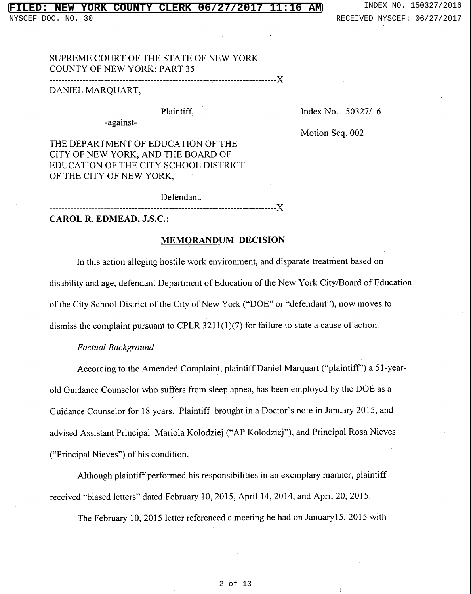#### **YORK COUNTY CLERK 06/27/2017** 11:16 АM NEW

NYSCEF DOC. NO. 30

INDEX NO. 150327/2016 RECEIVED NYSCEF: 06/27/2017

SUPREME COURT OF THE STATE OF NEW YORK **COUNTY OF NEW YORK: PART 35** 

----------------------

DANIEL MARQUART,

## Plaintiff,

-against-

Index No. 150327/16

Motion Seq. 002

THE DEPARTMENT OF EDUCATION OF THE CITY OF NEW YORK, AND THE BOARD OF EDUCATION OF THE CITY SCHOOL DISTRICT OF THE CITY OF NEW YORK,

Defendant.

CAROL R. EDMEAD, J.S.C.:

# **MEMORANDUM DECISION**

-------X

In this action alleging hostile work environment, and disparate treatment based on disability and age, defendant Department of Education of the New York City/Board of Education of the City School District of the City of New York ("DOE" or "defendant"), now moves to dismiss the complaint pursuant to CPLR 3211(1)(7) for failure to state a cause of action.

### **Factual Background**

According to the Amended Complaint, plaintiff Daniel Marquart ("plaintiff") a 51-yearold Guidance Counselor who suffers from sleep apnea, has been employed by the DOE as a Guidance Counselor for 18 years. Plaintiff brought in a Doctor's note in January 2015, and advised Assistant Principal Mariola Kolodziej ("AP Kolodziej"), and Principal Rosa Nieves ("Principal Nieves") of his condition.

Although plaintiff performed his responsibilities in an exemplary manner, plaintiff received "biased letters" dated February 10, 2015, April 14, 2014, and April 20, 2015.

The February 10, 2015 letter referenced a meeting he had on January 15, 2015 with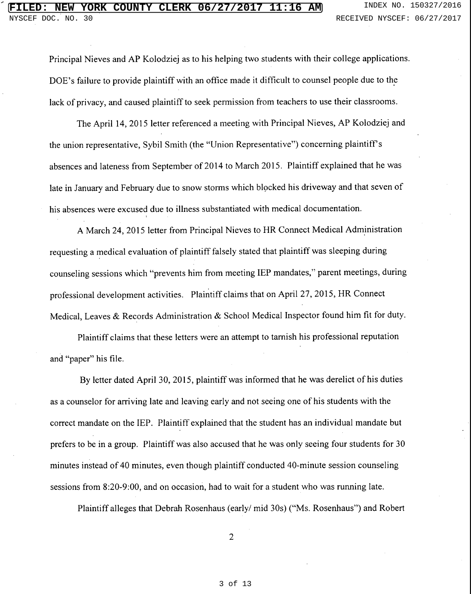Principal Nieves and AP Kolodziej as to his helping two students with their college applications. DOE's failure to provide plaintiff with an office made it difficult to counsel people due to the lack of privacy, and caused plaintiff to seek permission from teachers to use their classrooms.

The April 14, 2015 letter referenced a meeting with Principal Nieves, AP Kolodziej and the union representative, Sybil Smith (the "Union Representative") concerning plaintiff's absences and lateness from September of 2014 to March 2015. Plaintiff explained that he was late in January and February due to snow storms which blocked his driveway and that seven of his absences were excused due to illness substantiated with medical documentation.

A March 24, 2015 letter from Principal Nieves to HR Connect Medical Administration requesting a medical evaluation of plaintiff falsely stated that plaintiff was sleeping during counseling sessions which "prevents him from meeting IEP mandates," parent meetings, during professional development activities. Plaintiff claims that on April 27, 2015, HR Connect Medical, Leaves & Records Administration & School Medical Inspector found him fit for duty.

Plaintiff claims that these letters were an attempt to tarnish his professional reputation and "paper" his file.

By letter dated April 30, 2015, plaintiff was informed that he was derelict of his duties as a counselor for arriving late and leaving early and not seeing one of his students with the correct mandate on the IEP. Plaintiff explained that the student has an individual mandate but prefers to be in a group. Plaintiff was also accused that he was only seeing four students for 30 minutes instead of 40 minutes, even though plaintiff conducted 40-minute session counseling sessions from 8:20-9:00, and on occasion, had to wait for a student who was running late.

Plaintiff alleges that Debrah Rosenhaus (early/ mid 30s) ("Ms. Rosenhaus") and Robert

 $\overline{2}$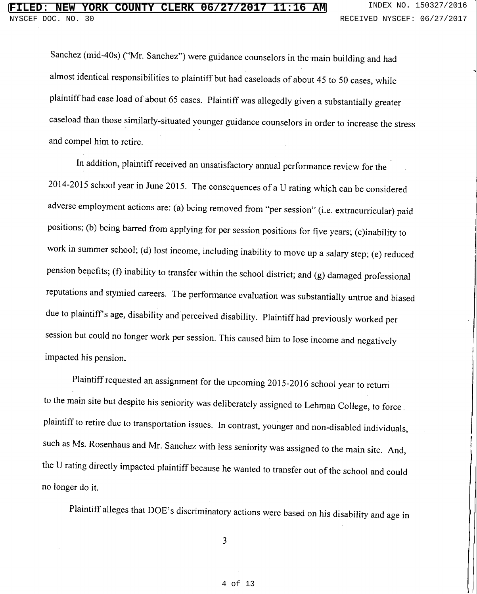Sanchez (mid-40s) ("Mr. Sanchez") were guidance counselors in the main building and had almost identical responsibilities to plaintiff but had caseloads of about 45 to 50 cases, while plaintiff had case load of about 65 cases. Plaintiff was allegedly given a substantially greater caseload than those similarly-situated younger guidance counselors in order to increase the stress and compel him to retire.

In addition, plaintiff received an unsatisfactory annual performance review for the 2014-2015 school year in June 2015. The consequences of a U rating which can be considered adverse employment actions are: (a) being removed from "per session" (i.e. extracurricular) paid positions; (b) being barred from applying for per session positions for five years; (c)inability to work in summer school; (d) lost income, including inability to move up a salary step; (e) reduced pension benefits; (f) inability to transfer within the school district; and (g) damaged professional reputations and stymied careers. The performance evaluation was substantially untrue and biased due to plaintiff's age, disability and perceived disability. Plaintiff had previously worked per session but could no longer work per session. This caused him to lose income and negatively impacted his pension.

Plaintiff requested an assignment for the upcoming 2015-2016 school year to return to the main site but despite his seniority was deliberately assigned to Lehman College, to force plaintiff to retire due to transportation issues. In contrast, younger and non-disabled individuals, such as Ms. Rosenhaus and Mr. Sanchez with less seniority was assigned to the main site. And, the U rating directly impacted plaintiff because he wanted to transfer out of the school and could no longer do it.

Plaintiff alleges that DOE's discriminatory actions were based on his disability and age in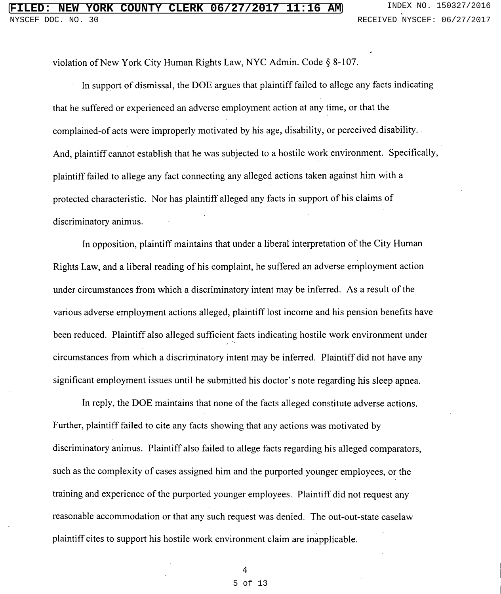violation of New York City Human Rights Law, NYC Admin. Code § 8-107.

In support of dismissal, the DOE argues that plaintiff failed to allege any facts indicating that he suffered or experienced an adverse employment action at any time, or that the complained-of acts were improperly motivated by his age, disability, or perceived disability. And, plaintiff cannot establish that he was subjected to a hostile work environment. Specifically, plaintiff failed to allege any fact connecting any alleged actions taken against him with a protected characteristic. Nor has plaintiff alleged any facts in support of his claims of discriminatory animus.

In opposition, plaintiff maintains that under a liberal interpretation of the City Human Rights Law, and a liberal reading of his complaint, he suffered an adverse employment action under circumstances from which a discriminatory intent may be inferred. As a result of the various adverse employment actions alleged, plaintiff lost income and his pension benefits have been reduced. Plaintiff also alleged sufficient facts indicating hostile work environment under circumstances from which a discriminatory intent may be inferred. Plaintiff did not have any significant employment issues until he submitted his doctor's note regarding his sleep apnea.

In reply, the DOE maintains that none of the facts alleged constitute adverse actions. Further, plaintiff failed to cite any facts showing that any actions was motivated by discriminatory animus. Plaintiff also failed to allege facts regarding his alleged comparators, such as the complexity of cases assigned him and the purported younger employees, or the training and experience of the purported younger employees. Plaintiff did not request any reasonable accommodation or that any such request was denied. The out-out-state caselaw plaintiff cites to support his hostile work environment claim are inapplicable.

#### 5 of 13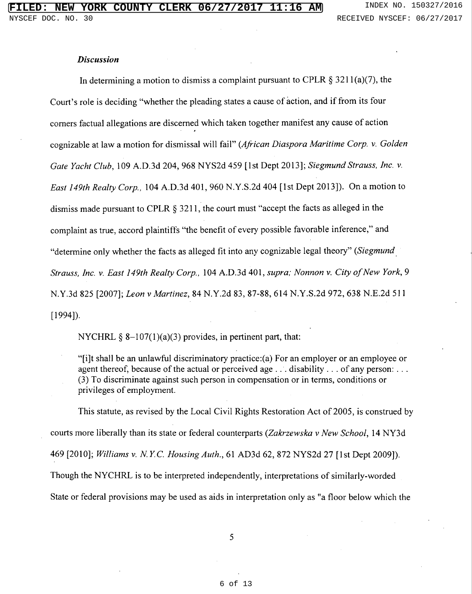### **Discussion**

In determining a motion to dismiss a complaint pursuant to CPLR  $\S 3211(a)(7)$ , the Court's role is deciding "whether the pleading states a cause of action, and if from its four corners factual allegations are discerned which taken together manifest any cause of action cognizable at law a motion for dismissal will fail" (African Diaspora Maritime Corp. v. Golden Gate Yacht Club, 109 A.D.3d 204, 968 NYS2d 459 [1st Dept 2013]; Siegmund Strauss, Inc. v. East 149th Realty Corp., 104 A.D.3d 401, 960 N.Y.S.2d 404 [1st Dept 2013]). On a motion to dismiss made pursuant to CPLR  $\S$  3211, the court must "accept the facts as alleged in the complaint as true, accord plaintiffs "the benefit of every possible favorable inference," and "determine only whether the facts as alleged fit into any cognizable legal theory" (Siegmund Strauss, Inc. v. East 149th Realty Corp., 104 A.D.3d 401, supra; Nonnon v. City of New York, 9 N.Y.3d 825 [2007]; Leon v Martinez, 84 N.Y.2d 83, 87-88, 614 N.Y.S.2d 972, 638 N.E.2d 511  $[1994]$ .

NYCHRL  $\S$  8-107(1)(a)(3) provides, in pertinent part, that:

"[i]t shall be an unlawful discriminatory practice:(a) For an employer or an employee or agent thereof, because of the actual or perceived age  $\dots$  disability  $\dots$  of any person:  $\dots$ (3) To discriminate against such person in compensation or in terms, conditions or privileges of employment.

This statute, as revised by the Local Civil Rights Restoration Act of 2005, is construed by courts more liberally than its state or federal counterparts (Zakrzewska v New School, 14 NY3d 469 [2010]; Williams v. N.Y.C. Housing Auth., 61 AD3d 62, 872 NYS2d 27 [1st Dept 2009]). Though the NYCHRL is to be interpreted independently, interpretations of similarly-worded State or federal provisions may be used as aids in interpretation only as "a floor below which the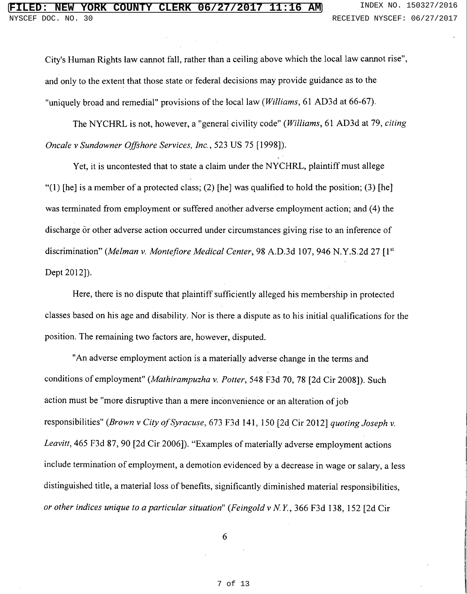City's Human Rights law cannot fall, rather than a ceiling above which the local law cannot rise", and only to the extent that those state or federal decisions may provide guidance as to the "uniquely broad and remedial" provisions of the local law (Williams, 61 AD3d at 66-67).

The NYCHRL is not, however, a "general civility code" (Williams, 61 AD3d at 79, citing Oncale v Sundowner Offshore Services, Inc., 523 US 75 [1998]).

Yet, it is uncontested that to state a claim under the NYCHRL, plaintiff must allege "(1) [he] is a member of a protected class; (2) [he] was qualified to hold the position; (3) [he] was terminated from employment or suffered another adverse employment action; and (4) the discharge or other adverse action occurred under circumstances giving rise to an inference of discrimination" (Melman v. Montefiore Medical Center, 98 A.D.3d 107, 946 N.Y.S.2d 27 [1st] Dept 2012]).

Here, there is no dispute that plaintiff sufficiently alleged his membership in protected classes based on his age and disability. Nor is there a dispute as to his initial qualifications for the position. The remaining two factors are, however, disputed.

"An adverse employment action is a materially adverse change in the terms and conditions of employment" (Mathirampuzha v. Potter, 548 F3d 70, 78 [2d Cir 2008]). Such action must be "more disruptive than a mere inconvenience or an alteration of job responsibilities" (Brown v City of Syracuse, 673 F3d 141, 150 [2d Cir 2012] quoting Joseph v. Leavitt, 465 F3d 87, 90 [2d Cir 2006]). "Examples of materially adverse employment actions include termination of employment, a demotion evidenced by a decrease in wage or salary, a less distinguished title, a material loss of benefits, significantly diminished material responsibilities, or other indices unique to a particular situation" (Feingold v N.Y., 366 F3d 138, 152 [2d Cir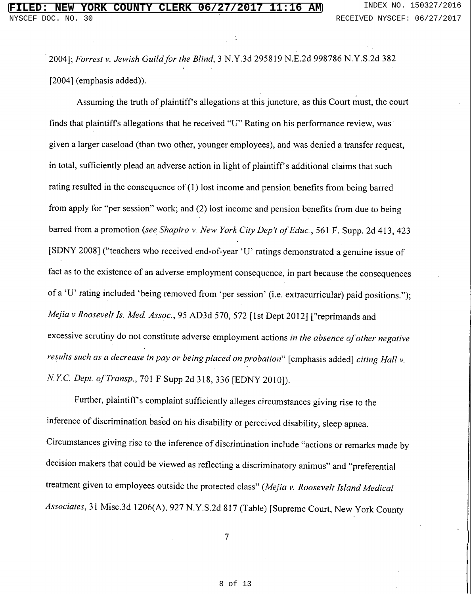2004]; Forrest v. Jewish Guild for the Blind, 3 N.Y.3d 295819 N.E.2d 998786 N.Y.S.2d 382  $[2004]$  (emphasis added)).

Assuming the truth of plaintiff's allegations at this juncture, as this Court must, the court finds that plaintiff's allegations that he received "U" Rating on his performance review, was given a larger caseload (than two other, younger employees), and was denied a transfer request, in total, sufficiently plead an adverse action in light of plaintiff's additional claims that such rating resulted in the consequence of  $(1)$  lost income and pension benefits from being barred from apply for "per session" work; and (2) lost income and pension benefits from due to being barred from a promotion (see Shapiro v. New York City Dep't of Educ., 561 F. Supp. 2d 413, 423 [SDNY 2008] ("teachers who received end-of-year 'U' ratings demonstrated a genuine issue of fact as to the existence of an adverse employment consequence, in part because the consequences of a 'U' rating included 'being removed from 'per session' (i.e. extracurricular) paid positions."); Mejia v Roosevelt Is. Med. Assoc., 95 AD3d 570, 572 [1st Dept 2012] ["reprimands and excessive scrutiny do not constitute adverse employment actions in the absence of other negative results such as a decrease in pay or being placed on probation" [emphasis added] citing Hall v. N.Y.C. Dept. of Transp., 701 F Supp 2d 318, 336 [EDNY 2010]).

Further, plaintiff's complaint sufficiently alleges circumstances giving rise to the inference of discrimination based on his disability or perceived disability, sleep apnea. Circumstances giving rise to the inference of discrimination include "actions or remarks made by decision makers that could be viewed as reflecting a discriminatory animus" and "preferential treatment given to employees outside the protected class" (Mejia v. Roosevelt Island Medical Associates, 31 Misc.3d 1206(A), 927 N.Y.S.2d 817 (Table) [Supreme Court, New York County

 $\tau$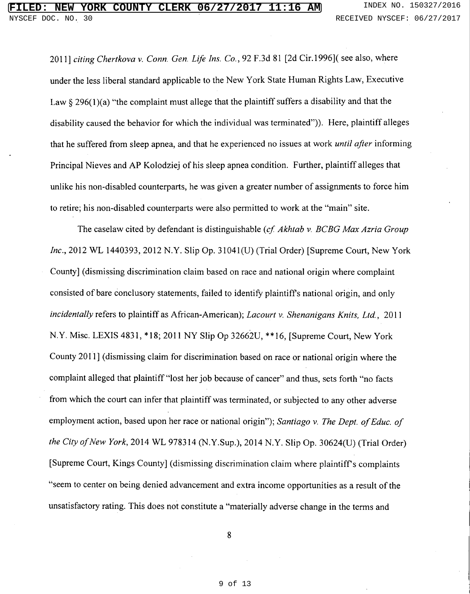2011] citing Chertkova v. Conn. Gen. Life Ins. Co., 92 F.3d 81 [2d Cir.1996] (see also, where under the less liberal standard applicable to the New York State Human Rights Law, Executive Law  $\S$  296(1)(a) "the complaint must allege that the plaintiff suffers a disability and that the disability caused the behavior for which the individual was terminated")). Here, plaintiff alleges that he suffered from sleep apnea, and that he experienced no issues at work *until after* informing Principal Nieves and AP Kolodziej of his sleep apnea condition. Further, plaintiff alleges that unlike his non-disabled counterparts, he was given a greater number of assignments to force him to retire; his non-disabled counterparts were also permitted to work at the "main" site.

The caselaw cited by defendant is distinguishable (cf. Akhtab v. BCBG Max Azria Group Inc., 2012 WL 1440393, 2012 N.Y. Slip Op. 31041(U) (Trial Order) [Supreme Court, New York County] (dismissing discrimination claim based on race and national origin where complaint consisted of bare conclusory statements, failed to identify plaintiff's national origin, and only incidentally refers to plaintiff as African-American); Lacourt v. Shenanigans Knits, Ltd., 2011 N.Y. Misc. LEXIS 4831, \*18; 2011 NY Slip Op 32662U, \*\*16, [Supreme Court, New York] County 2011] (dismissing claim for discrimination based on race or national origin where the complaint alleged that plaintiff "lost her job because of cancer" and thus, sets forth "no facts from which the court can infer that plaintiff was terminated, or subjected to any other adverse employment action, based upon her race or national origin"); Santiago v. The Dept. of Educ. of the City of New York, 2014 WL 978314 (N.Y.Sup.), 2014 N.Y. Slip Op. 30624(U) (Trial Order) [Supreme Court, Kings County] (dismissing discrimination claim where plaintiff's complaints "seem to center on being denied advancement and extra income opportunities as a result of the unsatisfactory rating. This does not constitute a "materially adverse change in the terms and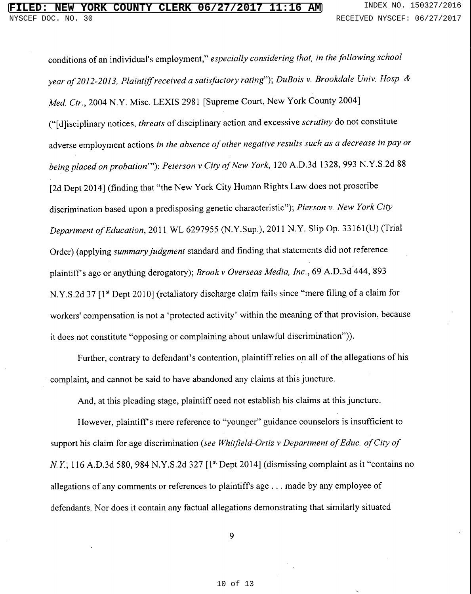conditions of an individual's employment," especially considering that, in the following school year of 2012-2013, Plaintiff received a satisfactory rating"); DuBois v. Brookdale Univ. Hosp. & Med. Ctr., 2004 N.Y. Misc. LEXIS 2981 [Supreme Court, New York County 2004] ("[d]isciplinary notices, threats of disciplinary action and excessive scrutiny do not constitute adverse employment actions in the absence of other negative results such as a decrease in pay or being placed on probation""); Peterson v City of New York, 120 A.D.3d 1328, 993 N.Y.S.2d 88 [2d Dept 2014] (finding that "the New York City Human Rights Law does not proscribe discrimination based upon a predisposing genetic characteristic"); Pierson v. New York City Department of Education, 2011 WL 6297955 (N.Y.Sup.), 2011 N.Y. Slip Op. 33161(U) (Trial Order) (applying summary judgment standard and finding that statements did not reference plaintiff's age or anything derogatory); Brook v Overseas Media, Inc., 69 A.D.3d 444, 893 N.Y.S.2d 37 [1<sup>st</sup> Dept 2010] (retaliatory discharge claim fails since "mere filing of a claim for workers' compensation is not a 'protected activity' within the meaning of that provision, because it does not constitute "opposing or complaining about unlawful discrimination")).

Further, contrary to defendant's contention, plaintiff relies on all of the allegations of his complaint, and cannot be said to have abandoned any claims at this juncture.

And, at this pleading stage, plaintiff need not establish his claims at this juncture.

However, plaintiff's mere reference to "younger" guidance counselors is insufficient to support his claim for age discrimination (see Whitfield-Ortiz v Department of Educ. of City of N.Y.; 116 A.D.3d 580, 984 N.Y.S.2d 327 [1st Dept 2014] (dismissing complaint as it "contains no allegations of any comments or references to plaintiff's age . . . made by any employee of defendants. Nor does it contain any factual allegations demonstrating that similarly situated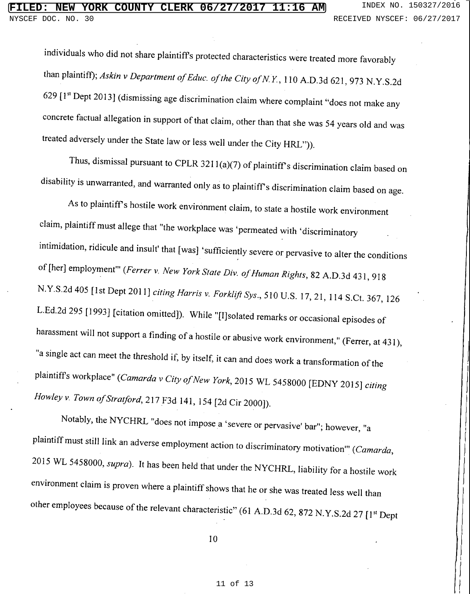individuals who did not share plaintiff's protected characteristics were treated more favorably than plaintiff); Askin v Department of Educ. of the City of N.Y., 110 A.D.3d 621, 973 N.Y.S.2d 629 [1<sup>st</sup> Dept 2013] (dismissing age discrimination claim where complaint "does not make any concrete factual allegation in support of that claim, other than that she was 54 years old and was treated adversely under the State law or less well under the City HRL")).

Thus, dismissal pursuant to CPLR 3211(a)(7) of plaintiff's discrimination claim based on disability is unwarranted, and warranted only as to plaintiff's discrimination claim based on age.

As to plaintiff's hostile work environment claim, to state a hostile work environment claim, plaintiff must allege that "the workplace was 'permeated with 'discriminatory intimidation, ridicule and insult' that [was] 'sufficiently severe or pervasive to alter the conditions of [her] employment" (Ferrer v. New York State Div. of Human Rights, 82 A.D.3d 431, 918 N.Y.S.2d 405 [1st Dept 2011] citing Harris v. Forklift Sys., 510 U.S. 17, 21, 114 S.Ct. 367, 126 L.Ed.2d 295 [1993] [citation omitted]). While "[I]solated remarks or occasional episodes of harassment will not support a finding of a hostile or abusive work environment," (Ferrer, at 431), "a single act can meet the threshold if, by itself, it can and does work a transformation of the plaintiff's workplace" (Camarda v City of New York, 2015 WL 5458000 [EDNY 2015] citing Howley v. Town of Stratford, 217 F3d 141, 154 [2d Cir 2000]).

Notably, the NYCHRL "does not impose a 'severe or pervasive' bar"; however, "a plaintiff must still link an adverse employment action to discriminatory motivation" (Camarda, 2015 WL 5458000, supra). It has been held that under the NYCHRL, liability for a hostile work environment claim is proven where a plaintiff shows that he or she was treated less well than other employees because of the relevant characteristic" (61 A.D.3d 62, 872 N.Y.S.2d 27 [1st Dept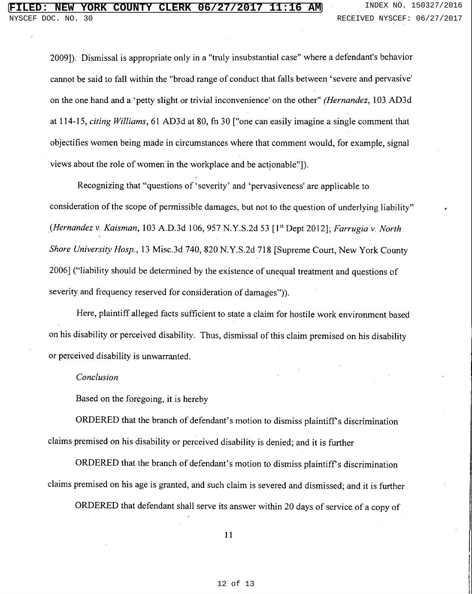2009]). Dismissal is appropriate only in a "truly insubstantial case" where a defendant's behavior cannot be said to fall within the "broad range of conduct that falls between 'severe and pervasive' on the one hand and a 'petty slight or trivial inconvenience' on the other" (Hernandez, 103 AD3d at 114-15, citing Williams, 61 AD3d at 80, fn 30 ["one can easily imagine a single comment that objectifies women being made in circumstances where that comment would, for example, signal views about the role of women in the workplace and be actionable"]).

Recognizing that "questions of 'severity' and 'pervasiveness' are applicable to consideration of the scope of permissible damages, but not to the question of underlying liability" (Hernandez v. Kaisman, 103 A.D.3d 106, 957 N.Y.S.2d 53 [1<sup>st</sup> Dept 2012]; Farrugia v. North Shore University Hosp., 13 Misc.3d 740, 820 N.Y.S.2d 718 [Supreme Court, New York County 2006] ("liability should be determined by the existence of unequal treatment and questions of severity and frequency reserved for consideration of damages")).

Here, plaintiff alleged facts sufficient to state a claim for hostile work environment based on his disability or perceived disability. Thus, dismissal of this claim premised on his disability or perceived disability is unwarranted.

#### Conclusion

Based on the foregoing, it is hereby

ORDERED that the branch of defendant's motion to dismiss plaintiff's discrimination claims premised on his disability or perceived disability is denied; and it is further

ORDERED that the branch of defendant's motion to dismiss plaintiff's discrimination claims premised on his age is granted, and such claim is severed and dismissed; and it is further

ORDERED that defendant shall serve its answer within 20 days of service of a copy of